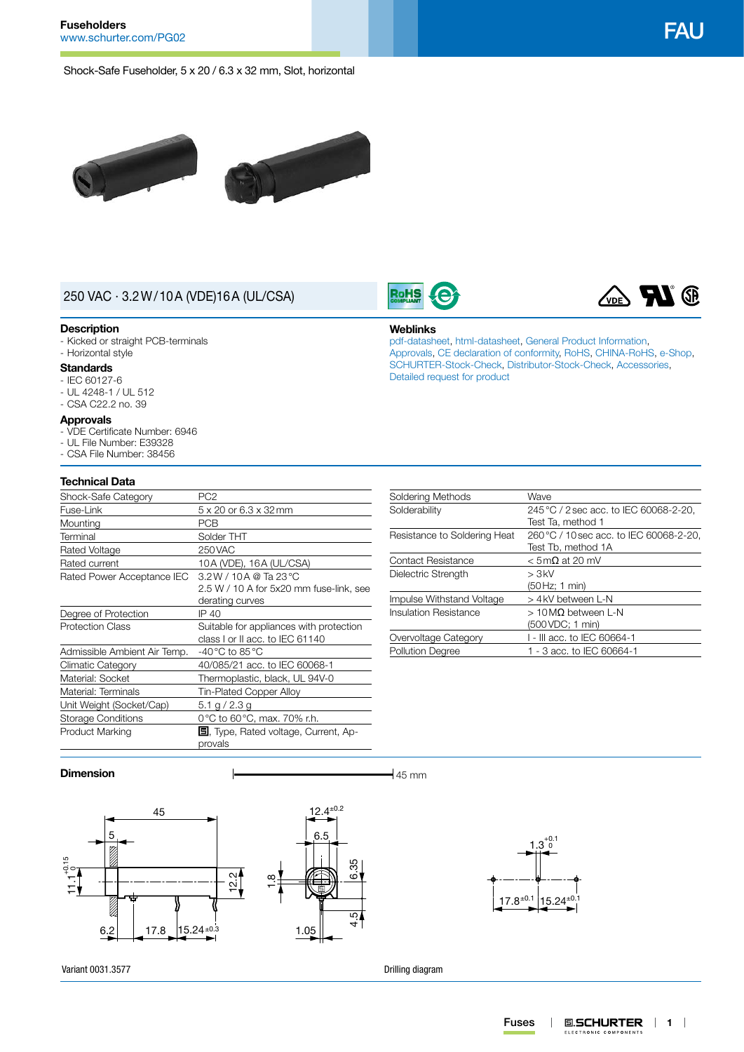Shock-Safe Fuseholder, 5 x 20 / 6.3 x 32 mm, Slot, horizontal





# 250 VAC · 3.2W/10A (VDE)16A (UL/CSA)

#### **Description**

- Kicked or straight PCB-terminals

# - Horizontal style

## **Standards**

- IEC 60127-6 - UL 4248-1 / UL 512
- CSA C22.2 no. 39

#### **Approvals**

- VDE Certificate Number: 6946
- UL File Number: E39328
- CSA File Number: 38456

#### **Technical Data**

| Shock-Safe Category          | PC <sub>2</sub>                                                      |  |  |  |  |
|------------------------------|----------------------------------------------------------------------|--|--|--|--|
| Fuse-Link                    | 5 x 20 or 6.3 x 32 mm                                                |  |  |  |  |
| Mounting                     | <b>PCB</b>                                                           |  |  |  |  |
| Terminal                     | Solder THT                                                           |  |  |  |  |
| Rated Voltage                | 250 VAC                                                              |  |  |  |  |
| Rated current                | 10A (VDE), 16A (UL/CSA)                                              |  |  |  |  |
| Rated Power Acceptance IEC   | $3.2 W / 10 A @$ Ta 23 °C                                            |  |  |  |  |
|                              | 2.5 W / 10 A for 5x20 mm fuse-link, see                              |  |  |  |  |
|                              | derating curves                                                      |  |  |  |  |
| Degree of Protection         | IP 40                                                                |  |  |  |  |
| <b>Protection Class</b>      | Suitable for appliances with protection                              |  |  |  |  |
|                              | class I or II acc. to IEC 61140                                      |  |  |  |  |
| Admissible Ambient Air Temp. | -40 °C to 85 °C                                                      |  |  |  |  |
| Climatic Category            | 40/085/21 acc. to IEC 60068-1                                        |  |  |  |  |
| Material: Socket             | Thermoplastic, black, UL 94V-0                                       |  |  |  |  |
| Material: Terminals          | Tin-Plated Copper Alloy                                              |  |  |  |  |
| Unit Weight (Socket/Cap)     | 5.1 g / 2.3 g                                                        |  |  |  |  |
| <b>Storage Conditions</b>    | 0 °C to 60 °C, max. 70% r.h.                                         |  |  |  |  |
| <b>Product Marking</b>       | <b><math>\blacksquare</math></b> , Type, Rated voltage, Current, Ap- |  |  |  |  |
|                              | provals                                                              |  |  |  |  |

| Soldering Methods            | Wave                                    |  |  |  |
|------------------------------|-----------------------------------------|--|--|--|
| Solderability                | 245 °C / 2 sec acc. to IEC 60068-2-20,  |  |  |  |
|                              | Test Ta, method 1                       |  |  |  |
| Resistance to Soldering Heat | 260 °C / 10 sec acc. to IEC 60068-2-20, |  |  |  |
|                              | Test Tb, method 1A                      |  |  |  |
| <b>Contact Resistance</b>    | $<$ 5 m $\Omega$ at 20 mV               |  |  |  |
| Dielectric Strength          | > 3kV                                   |  |  |  |
|                              | (50 Hz; 1 min)                          |  |  |  |
| Impulse Withstand Voltage    | > 4 kV between L-N                      |  |  |  |
| Insulation Resistance        | $>10$ MQ between L-N                    |  |  |  |
|                              | (500 VDC; 1 min)                        |  |  |  |
| Overvoltage Category         | 1 - III acc. to IEC 60664-1             |  |  |  |
| <b>Pollution Degree</b>      | 1 - 3 acc. to IEC 60664-1               |  |  |  |
|                              |                                         |  |  |  |

[SCHURTER-Stock-Check,](http://www.schurter.ch/en/Stock-Check/Stock-Check-SCHURTER?MAKTX=FAU&COM_QTY=1&AUTOSEARCH=true) [Distributor-Stock-Check](http://www.schurter.com/en/Stock-Check/Stock-Check-Distributor?partnumber1=FAU), [Accessories](http://www.schurter.ch/wwwsc/con_z02.asp),

#### **Dimension**  $\qquad \qquad$  45 mm

Variant 0031.3577





Drilling diagram

**Weblinks**

**RoHS** 

[Detailed request for product](http://www.schurter.com/en/Contacts/Contact-Form?type=FAU)

**TAL**<sup>®</sup>  $\chi_{\text{DE}}$ [pdf-datasheet](http://www.schurter.ch/pdf/english/typ_FAU.pdf), [html-datasheet](http://www.schurter.ch/en/datasheet/FAU), [General Product Information,](http://www.schurter.ch/products/fuses_general_info.asp) [Approvals](http://www.schurter.ch/en/Documents-References/Approvals/(id)/FAU), [CE declaration of conformity](http://www.schurter.com/en/Documents-References/Approvals/(id)/FAU+AND+FIELD+CertificationInstitute=SAG), [RoHS](http://www.schurter.ch/company/rohs.asp), [CHINA-RoHS,](http://www.schurter.ch/company/china_rohs.asp) [e-Shop,](http://www.schurter.ch/en/datasheet/FAU#Anker_Variants)